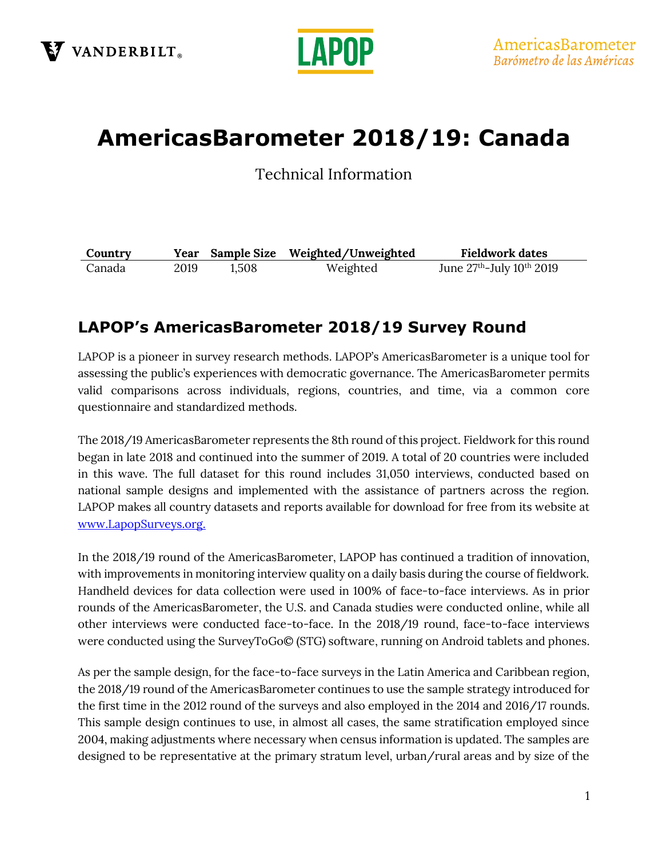

# **AmericasBarometer 2018/19: Canada**

Technical Information

| Country |      | Year Sample Size | Weighted/Unweighted | <b>Fieldwork dates</b>        |
|---------|------|------------------|---------------------|-------------------------------|
| Canada  | 2019 | 1.508            | Weighted            | June $27th$ -July $10th 2019$ |

## **LAPOP's AmericasBarometer 2018/19 Survey Round**

LAPOP is a pioneer in survey research methods. LAPOP's AmericasBarometer is a unique tool for assessing the public's experiences with democratic governance. The AmericasBarometer permits valid comparisons across individuals, regions, countries, and time, via a common core questionnaire and standardized methods.

The 2018/19 AmericasBarometer represents the 8th round of this project. Fieldwork for this round began in late 2018 and continued into the summer of 2019. A total of 20 countries were included in this wave. The full dataset for this round includes 31,050 interviews, conducted based on national sample designs and implemented with the assistance of partners across the region. LAPOP makes all country datasets and reports available for download for free from its website at [www.LapopSurveys.org.](http://www.lapopsurveys.org/)

In the 2018/19 round of the AmericasBarometer, LAPOP has continued a tradition of innovation, with improvements in monitoring interview quality on a daily basis during the course of fieldwork. Handheld devices for data collection were used in 100% of face-to-face interviews. As in prior rounds of the AmericasBarometer, the U.S. and Canada studies were conducted online, while all other interviews were conducted face-to-face. In the 2018/19 round, face-to-face interviews were conducted using the SurveyToGo© (STG) software, running on Android tablets and phones.

As per the sample design, for the face-to-face surveys in the Latin America and Caribbean region, the 2018/19 round of the AmericasBarometer continues to use the sample strategy introduced for the first time in the 2012 round of the surveys and also employed in the 2014 and 2016/17 rounds. This sample design continues to use, in almost all cases, the same stratification employed since 2004, making adjustments where necessary when census information is updated. The samples are designed to be representative at the primary stratum level, urban/rural areas and by size of the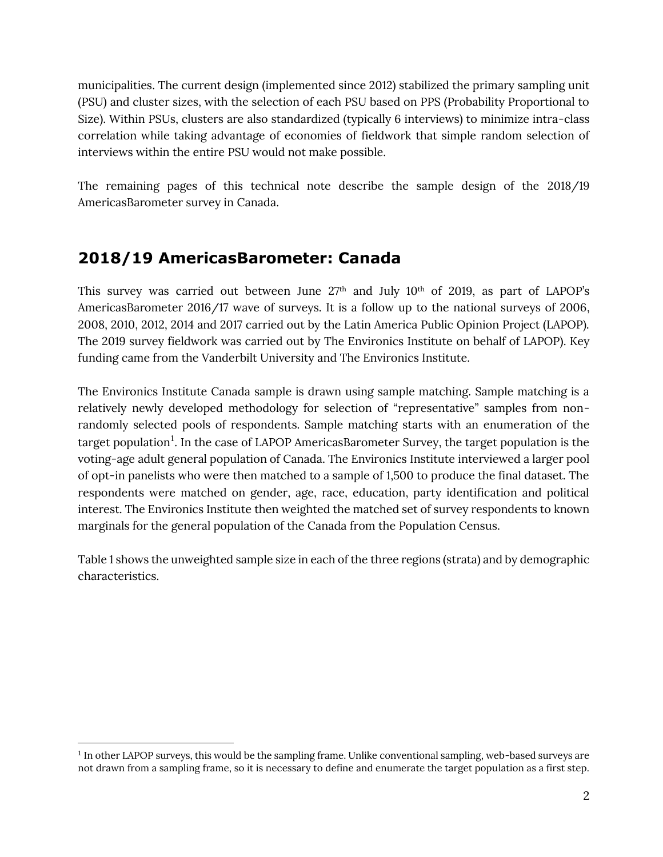municipalities. The current design (implemented since 2012) stabilized the primary sampling unit (PSU) and cluster sizes, with the selection of each PSU based on PPS (Probability Proportional to Size). Within PSUs, clusters are also standardized (typically 6 interviews) to minimize intra-class correlation while taking advantage of economies of fieldwork that simple random selection of interviews within the entire PSU would not make possible.

The remaining pages of this technical note describe the sample design of the 2018/19 AmericasBarometer survey in Canada.

## **2018/19 AmericasBarometer: Canada**

This survey was carried out between June  $27<sup>th</sup>$  and July  $10<sup>th</sup>$  of 2019, as part of LAPOP's AmericasBarometer 2016/17 wave of surveys. It is a follow up to the national surveys of 2006, 2008, 2010, 2012, 2014 and 2017 carried out by the Latin America Public Opinion Project (LAPOP). The 2019 survey fieldwork was carried out by The Environics Institute on behalf of LAPOP). Key funding came from the Vanderbilt University and The Environics Institute.

The Environics Institute Canada sample is drawn using sample matching. Sample matching is a relatively newly developed methodology for selection of "representative" samples from nonrandomly selected pools of respondents. Sample matching starts with an enumeration of the target population $^{\rm l}$ . In the case of LAPOP AmericasBarometer Survey, the target population is the voting-age adult general population of Canada. The Environics Institute interviewed a larger pool of opt-in panelists who were then matched to a sample of 1,500 to produce the final dataset. The respondents were matched on gender, age, race, education, party identification and political interest. The Environics Institute then weighted the matched set of survey respondents to known marginals for the general population of the Canada from the Population Census.

Table 1 shows the unweighted sample size in each of the three regions (strata) and by demographic characteristics.

<sup>&</sup>lt;sup>1</sup> In other LAPOP surveys, this would be the sampling frame. Unlike conventional sampling, web-based surveys are not drawn from a sampling frame, so it is necessary to define and enumerate the target population as a first step.